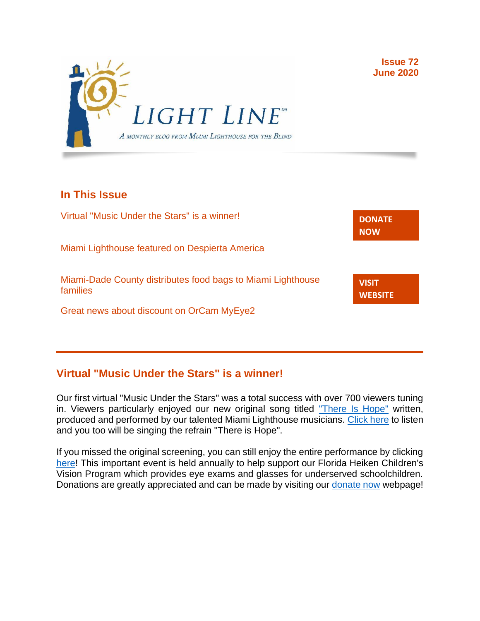

# **In This Issue**

Virtual "Music Under the Stars" is a winner! Miami Lighthouse featured on Despierta America Miami-Dade County distributes food bags to Miami Lighthouse families Great news about discount on OrCam MyEye2 **[DONATE](http://r20.rs6.net/tn.jsp?f=001gO2GdS4FPEo240mg91k3c6HYN6ozMk69i8vrHipkUVt0nirc6iRjFsnZMWQfGpPyX5jA608dzGsffulXhDWN87JpF0RNMOsrEiEcR9KIVEjaVePiHS9eny3wE9Zh3DibFuDj7zvtMQCXwVbtALXi3_cnEJaT8XURz8jTt9N4yGe0rF3VoM8Y5mGhwRavYQ9CBe_fM4GbcQM=&c=A5xWHdmKDISdqoVssYAkMfhtdAlzuVskAHp3ASewWzRv5OnB7XubeA==&ch=KFi9wV6k5Z13Ef8Qia4fM-L584mfsNs0RWKjkNv-Bombmn4mZKg5Lw==) NOW VISIT [WEBSITE](http://r20.rs6.net/tn.jsp?f=001gO2GdS4FPEo240mg91k3c6HYN6ozMk69i8vrHipkUVt0nirc6iRjFp5OLUPp5xz8iJ7cM7NxB4ho-pmJZegg-UUCCff2BfEg0hVFNWmithw5L76cpbdpMlw1ZgIRlQC6OwIp0zOZvc1jcAvQYtup6ODb3HvWFX4_CFaBZinytweEHJSIK44w1g==&c=A5xWHdmKDISdqoVssYAkMfhtdAlzuVskAHp3ASewWzRv5OnB7XubeA==&ch=KFi9wV6k5Z13Ef8Qia4fM-L584mfsNs0RWKjkNv-Bombmn4mZKg5Lw==)**

### **Virtual "Music Under the Stars" is a winner!**

Our first virtual "Music Under the Stars" was a total success with over 700 viewers tuning in. Viewers particularly enjoyed our new original song titled ["There Is Hope"](https://www.youtube.com/watch?v=8hPjWOleWJ4) written, produced and performed by our talented Miami Lighthouse musicians. [Click here](https://www.youtube.com/watch?v=8hPjWOleWJ4) to listen and you too will be singing the refrain "There is Hope".

If you missed the original screening, you can still enjoy the entire performance by clicking [here!](https://www.miamilighthouse.org/VirtualMusicUndertheStars.asp) This important event is held annually to help support our Florida Heiken Children's Vision Program which provides eye exams and glasses for underserved schoolchildren. Donations are greatly appreciated and can be made by visiting our [donate now](https://secure.miamilighthouse.org/Donations.asp) webpage!

**Issue 72 June 2020**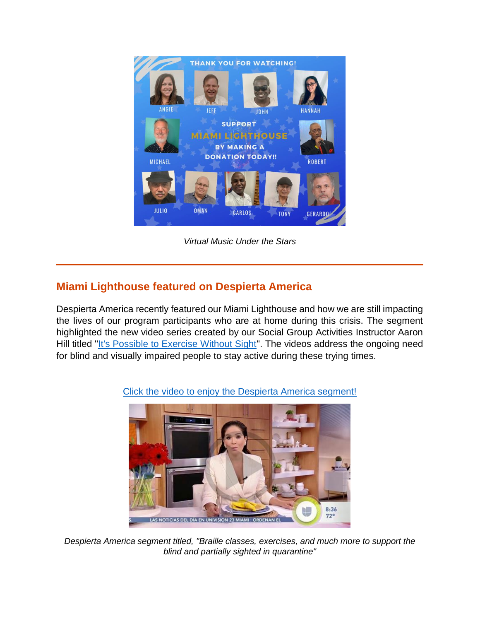

*Virtual Music Under the Stars*

# **Miami Lighthouse featured on Despierta America**

Despierta America recently featured our Miami Lighthouse and how we are still impacting the lives of our program participants who are at home during this crisis. The segment highlighted the new video series created by our Social Group Activities Instructor Aaron Hill titled "It's Possible [to Exercise Without Sight"](https://www.youtube.com/playlist?list=PL9qrgefqoEmx-SPb88iEfDCaEtjQWwS0s). The videos address the ongoing need for blind and visually impaired people to stay active during these trying times.



[Click the video to enjoy the Despierta America segment!](https://www.univision.com/shows/despierta-america/clases-de-braille-ejercicios-y-mas-actividades-para-apoyar-a-invidentes-y-debiles-visuales-en-la-cuarentena-video)

*Despierta America segment titled, "Braille classes, exercises, and much more to support the blind and partially sighted in quarantine"*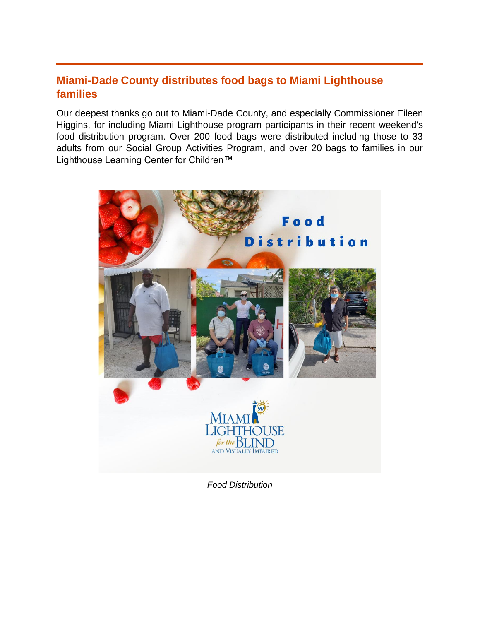## **Miami-Dade County distributes food bags to Miami Lighthouse families**

Our deepest thanks go out to Miami-Dade County, and especially Commissioner Eileen Higgins, for including Miami Lighthouse program participants in their recent weekend's food distribution program. Over 200 food bags were distributed including those to 33 adults from our Social Group Activities Program, and over 20 bags to families in our Lighthouse Learning Center for Children<sup>™</sup>



*Food Distribution*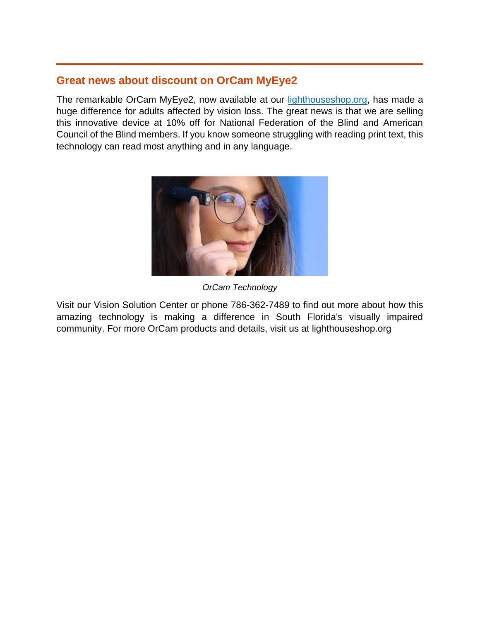### **Great news about discount on OrCam MyEye2**

The remarkable OrCam MyEye2, now available at our [lighthouseshop.org,](https://lighthouseshop.org/) has made a huge difference for adults affected by vision loss. The great news is that we are selling this innovative device at 10% off for National Federation of the Blind and American Council of the Blind members. If you know someone struggling with reading print text, this technology can read most anything and in any language.



*OrCam Technology*

Visit our Vision Solution Center or phone 786-362-7489 to find out more about how this amazing technology is making a difference in South Florida's visually impaired community. For more OrCam products and details, visit us at lighthouseshop.org